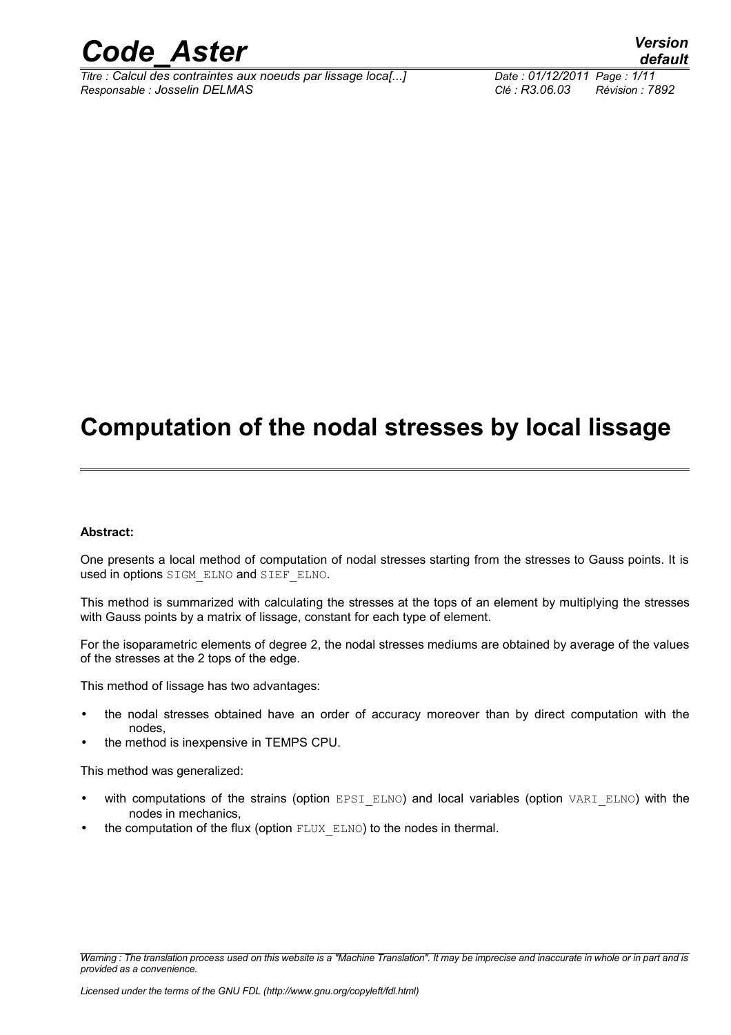

*Titre : Calcul des contraintes aux noeuds par lissage loca[...] Date : 01/12/2011 Page : 1/11 Responsable : Josselin DELMAS Clé : R3.06.03 Révision : 7892*

## **Computation of the nodal stresses by local lissage**

#### **Abstract:**

One presents a local method of computation of nodal stresses starting from the stresses to Gauss points. It is used in options SIGM\_ELNO and SIEF\_ELNO.

This method is summarized with calculating the stresses at the tops of an element by multiplying the stresses with Gauss points by a matrix of lissage, constant for each type of element.

For the isoparametric elements of degree 2, the nodal stresses mediums are obtained by average of the values of the stresses at the 2 tops of the edge.

This method of lissage has two advantages:

- the nodal stresses obtained have an order of accuracy moreover than by direct computation with the nodes,
- the method is inexpensive in TEMPS CPU.

This method was generalized:

- with computations of the strains (option EPSI\_ELNO) and local variables (option VARI\_ELNO) with the nodes in mechanics,
- the computation of the flux (option FLUX\_ELNO) to the nodes in thermal.

*Warning : The translation process used on this website is a "Machine Translation". It may be imprecise and inaccurate in whole or in part and is provided as a convenience.*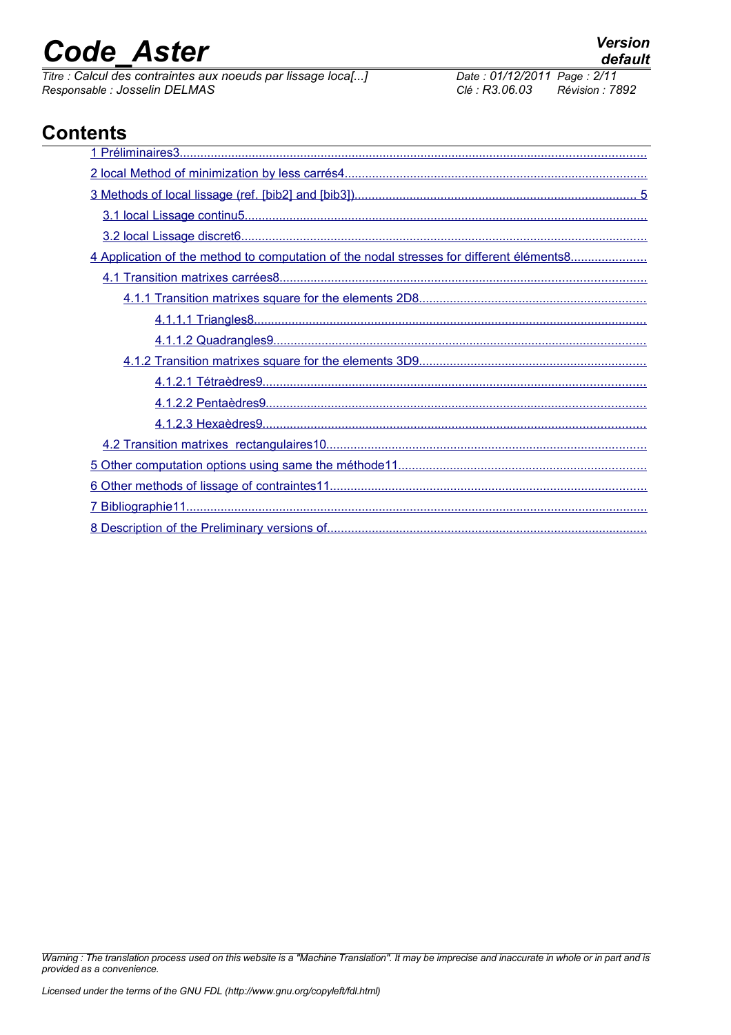*Titre : Calcul des contraintes aux noeuds par lissage loca[...] Date : 01/12/2011 Date : 01/12/2014 Page : 01/12/2014 Page : 10556101 PELMAS Clé : R3.06.03 Responsable : Josselin DELMAS Clé : R3.06.03 Révision : 7892*

### **Contents**

| 4 Application of the method to computation of the nodal stresses for different éléments8 |
|------------------------------------------------------------------------------------------|
|                                                                                          |
|                                                                                          |
|                                                                                          |
|                                                                                          |
|                                                                                          |
|                                                                                          |
|                                                                                          |
|                                                                                          |
|                                                                                          |
|                                                                                          |
|                                                                                          |
|                                                                                          |
|                                                                                          |

*Warning : The translation process used on this website is a "Machine Translation". It may be imprecise and inaccurate in whole or in part and is provided as a convenience.*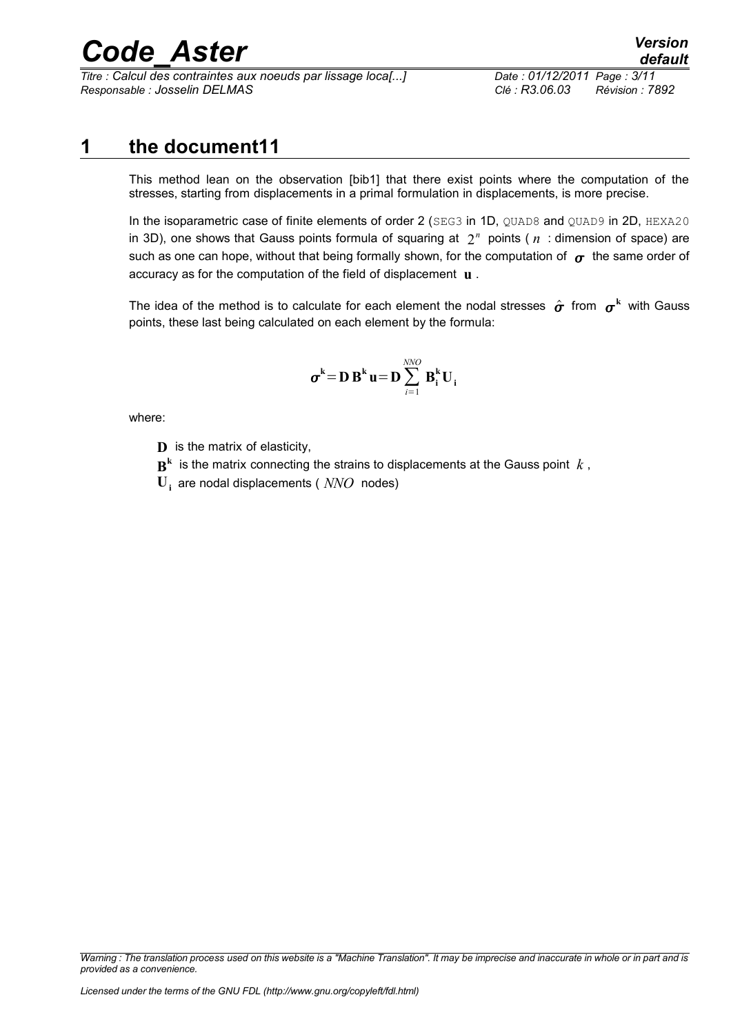*Titre : Calcul des contraintes aux noeuds par lissage loca[...] Date : 01/12/2011 Page : 3/11 Responsable : Josselin DELMAS Clé : R3.06.03 Révision : 7892*

### **1 the document11**

<span id="page-2-0"></span>This method lean on the observation [bib1] that there exist points where the computation of the stresses, starting from displacements in a primal formulation in displacements, is more precise.

In the isoparametric case of finite elements of order 2 (SEG3 in 1D, QUAD8 and QUAD9 in 2D, HEXA20 in 3D), one shows that Gauss points formula of squaring at  $2<sup>n</sup>$  points ( $n<sup>1</sup>$  dimension of space) are such as one can hope, without that being formally shown, for the computation of  $\sigma$  the same order of accuracy as for the computation of the field of displacement **u** .

The idea of the method is to calculate for each element the nodal stresses  $\hat{\bm{\sigma}}$  from  $\bm{\sigma}^{\rm k}$  with Gauss points, these last being calculated on each element by the formula:

$$
\boldsymbol{\sigma}^{\mathbf{k}} = \mathbf{D} \, \mathbf{B}^{\mathbf{k}} \, \mathbf{u} = \mathbf{D} \sum_{i=1}^{NNO} \, \mathbf{B}_{i}^{\mathbf{k}} \, \mathbf{U}_{i}
$$

where:

- **D** is the matrix of elasticity,
- $\mathbf{B}^{\mathbf{k}}$  is the matrix connecting the strains to displacements at the Gauss point  $k$  ,
- **Ui** are nodal displacements ( *NNO* nodes)

*Warning : The translation process used on this website is a "Machine Translation". It may be imprecise and inaccurate in whole or in part and is provided as a convenience.*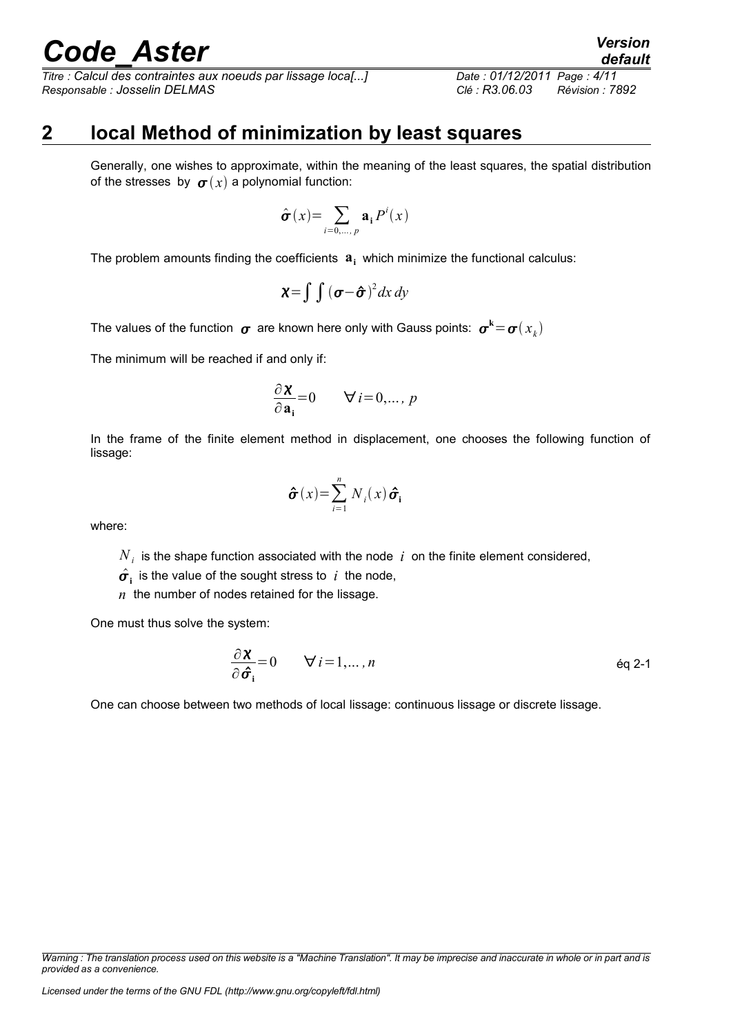*Titre : Calcul des contraintes aux noeuds par lissage loca[...] Date : 01/12/2011 Page : 4/11 Responsable : Josselin DELMAS Clé : R3.06.03 Révision : 7892*

### **2 local Method of minimization by least squares**

<span id="page-3-0"></span>Generally, one wishes to approximate, within the meaning of the least squares, the spatial distribution of the stresses by  $\sigma(x)$  a polynomial function:

$$
\hat{\boldsymbol{\sigma}}(x) = \sum_{i=0,\dots,p} \mathbf{a_i} P^i(x)
$$

The problem amounts finding the coefficients **a<sup>i</sup>** which minimize the functional calculus:

$$
\mathbf{X} = \int \int (\boldsymbol{\sigma} - \boldsymbol{\hat{\sigma}})^2 dx dy
$$

The values of the function  $\,\bm \sigma\,$  are known here only with Gauss points:  $\,\bm \sigma^{\mathbf{k}}\!=\!\bm \sigma(x_{_k})\,$ 

The minimum will be reached if and only if:

$$
\frac{\partial \mathbf{X}}{\partial \mathbf{a_i}} = 0 \qquad \forall i = 0, \dots, p
$$

In the frame of the finite element method in displacement, one chooses the following function of lissage:

$$
\hat{\boldsymbol{\sigma}}(x) = \sum_{i=1}^{n} N_i(x) \hat{\boldsymbol{\sigma}}_i
$$

where:

 $N_i$  is the shape function associated with the node  $|i\rangle$  on the finite element considered,

 $\hat{\sigma}_{i}$  is the value of the sought stress to *i* the node,

*n* the number of nodes retained for the lissage.

One must thus solve the system:

$$
\frac{\partial \mathbf{X}}{\partial \hat{\sigma}_i} = 0 \qquad \forall i = 1, ..., n \qquad \text{Eq 2-1}
$$

One can choose between two methods of local lissage: continuous lissage or discrete lissage.

*Warning : The translation process used on this website is a "Machine Translation". It may be imprecise and inaccurate in whole or in part and is provided as a convenience.*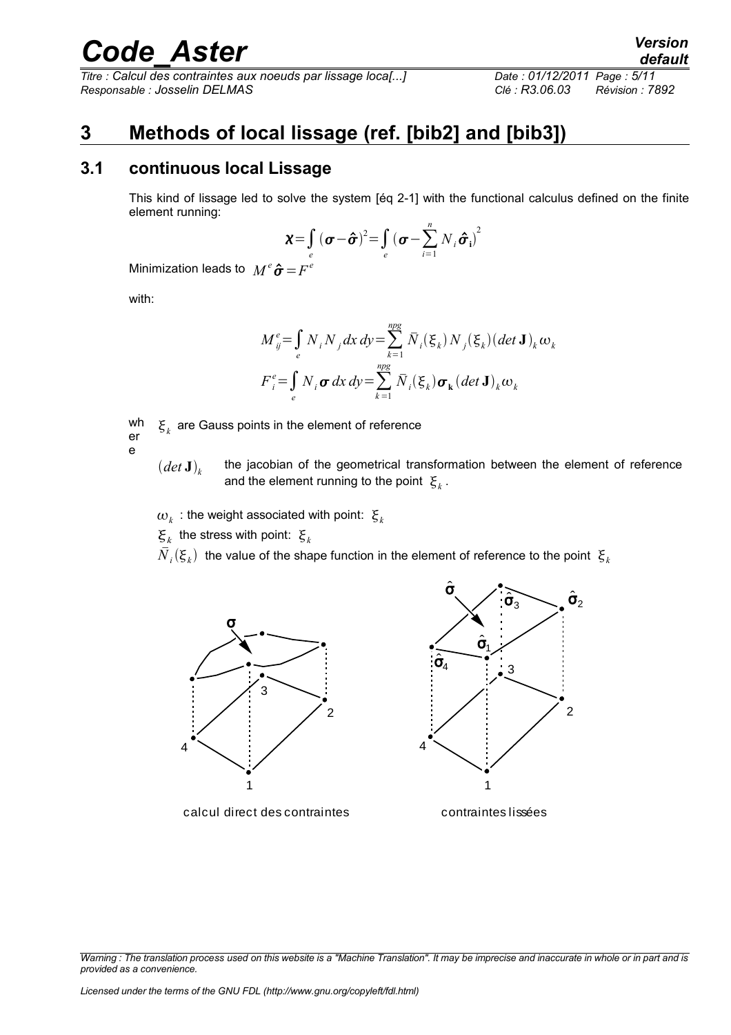*Titre : Calcul des contraintes aux noeuds par lissage loca[...] Date : 01/12/2011 Page : 5/11 Responsable : Josselin DELMAS Clé : R3.06.03 Révision : 7892*

*default*

### <span id="page-4-1"></span>**3 Methods of local lissage (ref. [bib2] and [bib3])**

#### **3.1 continuous local Lissage**

<span id="page-4-0"></span>This kind of lissage led to solve the system [éq 2-1] with the functional calculus defined on the finite element running:

$$
\chi = \int_{e}^{t} (\boldsymbol{\sigma} - \boldsymbol{\hat{\sigma}})^{2} = \int_{e}^{t} (\boldsymbol{\sigma} - \sum_{i=1}^{n} N_{i} \boldsymbol{\hat{\sigma}}_{i})^{2}
$$

Minimization leads to  $\ M^e \bm{\hat{\sigma}} \!=\! F^e$ 

with:

$$
M_{ij}^{e} = \int_{e} N_{i} N_{j} dx dy = \sum_{k=1}^{npg} \overline{N}_{i}(\xi_{k}) N_{j}(\xi_{k}) (det \mathbf{J})_{k} \omega_{k}
$$
  

$$
F_{i}^{e} = \int_{e} N_{i} \sigma dx dy = \sum_{k=1}^{npg} \overline{N}_{i}(\xi_{k}) \sigma_{k} (det \mathbf{J})_{k} \omega_{k}
$$

wh er  $\boldsymbol{\xi}_{k}$  are Gauss points in the element of reference

e

- $\left(\det \mathbf{J}\right)_k$ the jacobian of the geometrical transformation between the element of reference and the element running to the point  $\mathcal{E}_k$ .
- $\omega_{_k}$  : the weight associated with point:  $\mathbf{\boldsymbol{\xi}}_k$

 $\mathbf{\xi}_k$  the stress with point:  $\mathbf{\xi}_k$ 

 ${\bar N}_i(\xi_{\scriptscriptstyle k})$  the value of the shape function in the element of reference to the point  $\,{\xi}_{\scriptscriptstyle k}$ 



calcul direct des contraintes



contraintes lissées

*Warning : The translation process used on this website is a "Machine Translation". It may be imprecise and inaccurate in whole or in part and is provided as a convenience.*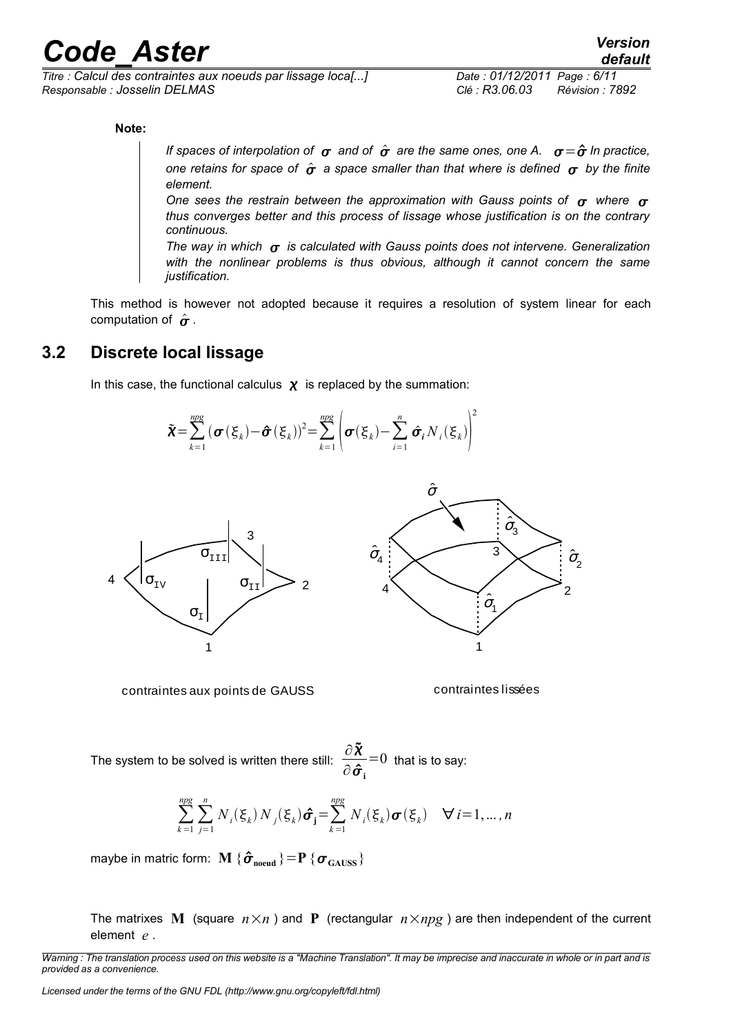*Titre : Calcul des contraintes aux noeuds par lissage loca[...] Date : 01/12/2011 Page : 6/11 Responsable : Josselin DELMAS Clé : R3.06.03 Révision : 7892*

**Note:**

*If spaces of interpolation of*  $\sigma$  *and of*  $\hat{\sigma}$  *are the same ones, one A.*  $\sigma = \hat{\sigma}$  *In practice, one retains for space of*  $\hat{\sigma}$  *a space smaller than that where is defined*  $\sigma$  *by the finite element.*

One sees the restrain between the approximation with Gauss points of  $\sigma$  where  $\sigma$ *thus converges better and this process of lissage whose justification is on the contrary continuous.*

*The way in which*  $\sigma$  is calculated with Gauss points does not intervene. Generalization *with the nonlinear problems is thus obvious, although it cannot concern the same justification.*

This method is however not adopted because it requires a resolution of system linear for each computation of  $\hat{\sigma}$ .

#### **3.2 Discrete local lissage**

<span id="page-5-0"></span>In this case, the functional calculus  $\chi$  is replaced by the summation:





contraintes aux points de GAUSS contraintes lissées

The system to be solved is written there still:  $\frac{\partial \tilde{X}}{\partial \tilde{X}}$  $\partial\bm{\hat{\sigma}_{\text{i}}}$  $=0$  that is to say:

$$
\sum_{k=1}^{ng} \sum_{j=1}^{n} N_i(\xi_k) N_j(\xi_k) \hat{\sigma}_j = \sum_{k=1}^{ngg} N_i(\xi_k) \sigma(\xi_k) \quad \forall i = 1, \dots, n
$$

maybe in matric form:  $\mathbf{M}$   $\{\hat{\boldsymbol{\sigma}}_\text{need}\} \!=\! \mathbf{P}$   $\{\boldsymbol{\sigma}_{\text{GAUSS}}\}$ 

The matrixes **M** (square  $n \times n$ ) and **P** (rectangular  $n \times npg$ ) are then independent of the current element *e* .

*Warning : The translation process used on this website is a "Machine Translation". It may be imprecise and inaccurate in whole or in part and is provided as a convenience.*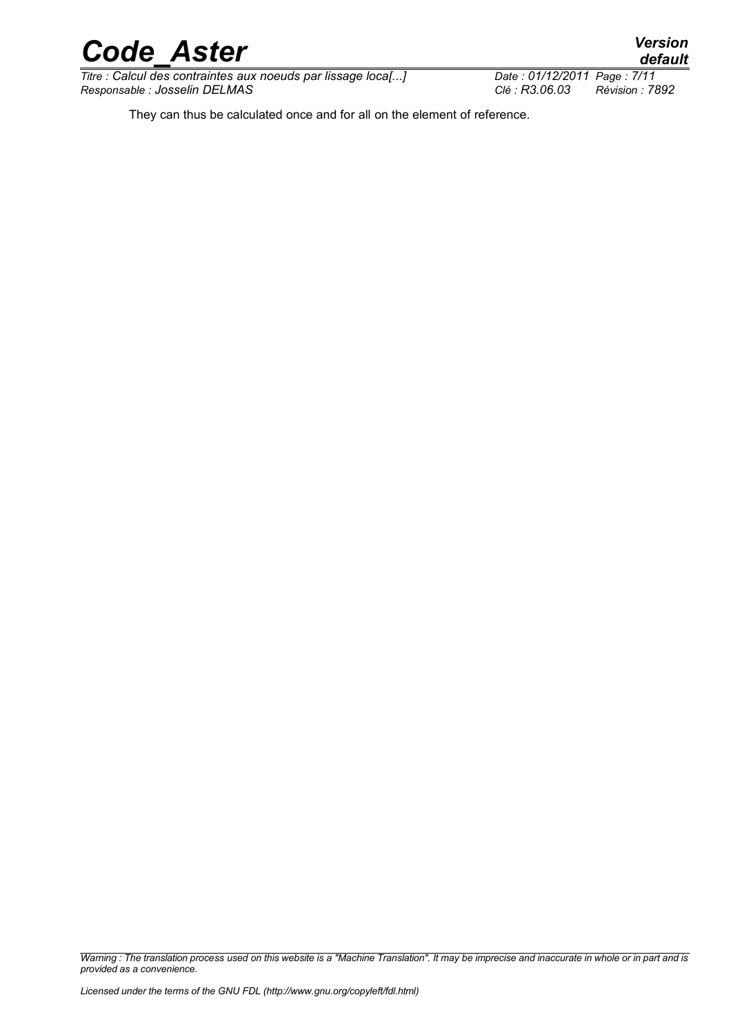*Titre : Calcul des contraintes aux noeuds par lissage loca[...] Responsable : Josselin DELMAS Clé : R3.06.03 Révision : 7892*

*default*

They can thus be calculated once and for all on the element of reference.

*Warning : The translation process used on this website is a "Machine Translation". It may be imprecise and inaccurate in whole or in part and is provided as a convenience.*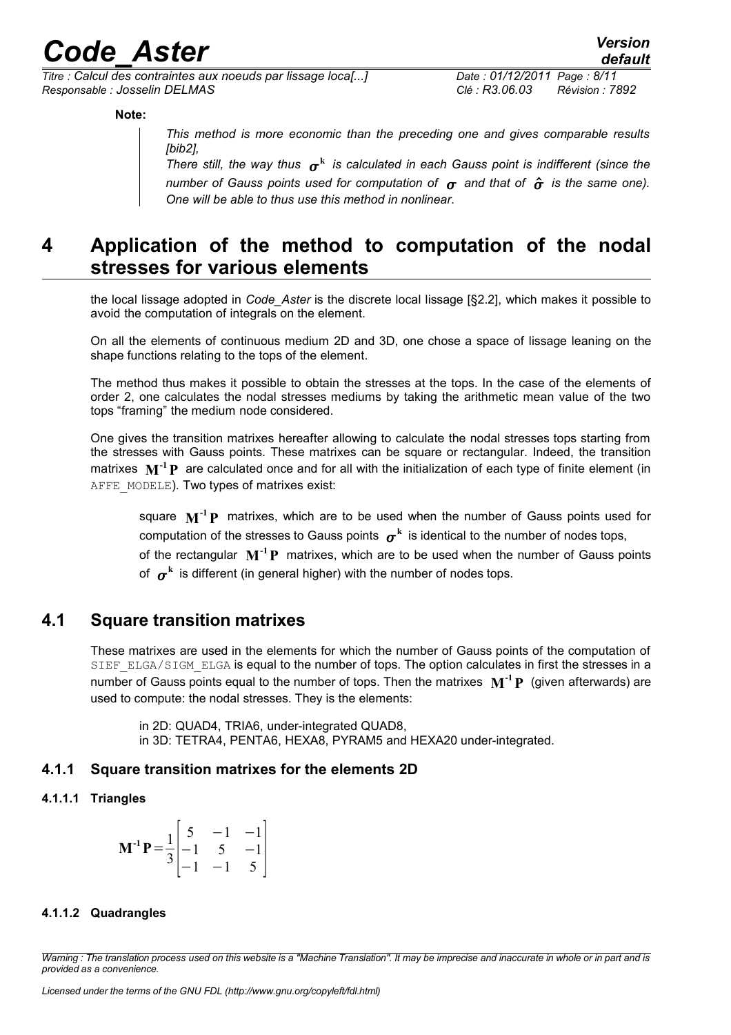*Titre : Calcul des contraintes aux noeuds par lissage loca[...] Date : 01/12/2011 Page : 8/11 Responsable : Josselin DELMAS Clé : R3.06.03 Révision : 7892*

**Note:**

*This method is more economic than the preceding one and gives comparable results [bib2],* 

There still, the way thus  $\sigma^k$  is calculated in each Gauss point is indifferent (since the *number of Gauss points used for computation of*  $\sigma$  *and that of*  $\hat{\sigma}$  *is the same one). One will be able to thus use this method in nonlinear*.

### <span id="page-7-4"></span>**4 Application of the method to computation of the nodal stresses for various elements**

the local lissage adopted in *Code\_Aster* is the discrete local lissage [§2.2], which makes it possible to avoid the computation of integrals on the element.

On all the elements of continuous medium 2D and 3D, one chose a space of lissage leaning on the shape functions relating to the tops of the element.

The method thus makes it possible to obtain the stresses at the tops. In the case of the elements of order 2, one calculates the nodal stresses mediums by taking the arithmetic mean value of the two tops "framing" the medium node considered.

One gives the transition matrixes hereafter allowing to calculate the nodal stresses tops starting from the stresses with Gauss points. These matrixes can be square or rectangular. Indeed, the transition matrixes **M -1P** are calculated once and for all with the initialization of each type of finite element (in AFFE\_MODELE). Two types of matrixes exist:

square **M -1P** matrixes, which are to be used when the number of Gauss points used for computation of the stresses to Gauss points  $\sigma^{\rm k}$  is identical to the number of nodes tops, of the rectangular **M -1P** matrixes, which are to be used when the number of Gauss points of  $\,\boldsymbol{\sigma}^{\mathbf{k}}\,$  is different (in general higher) with the number of nodes tops.

#### **4.1 Square transition matrixes**

<span id="page-7-3"></span>These matrixes are used in the elements for which the number of Gauss points of the computation of SIEF\_ELGA/SIGM\_ELGA is equal to the number of tops. The option calculates in first the stresses in a number of Gauss points equal to the number of tops. Then the matrixes **M -1P** (given afterwards) are used to compute: the nodal stresses. They is the elements:

in 2D: QUAD4, TRIA6, under-integrated QUAD8, in 3D: TETRA4, PENTA6, HEXA8, PYRAM5 and HEXA20 under-integrated.

#### <span id="page-7-2"></span>**4.1.1 Square transition matrixes for the elements 2D**

#### **4.1.1.1 Triangles**

<span id="page-7-1"></span>
$$
\mathbf{M}^{-1}\mathbf{P} = \frac{1}{3} \begin{bmatrix} 5 & -1 & -1 \\ -1 & 5 & -1 \\ -1 & -1 & 5 \end{bmatrix}
$$

#### <span id="page-7-0"></span>**4.1.1.2 Quadrangles**

*Warning : The translation process used on this website is a "Machine Translation". It may be imprecise and inaccurate in whole or in part and is provided as a convenience.*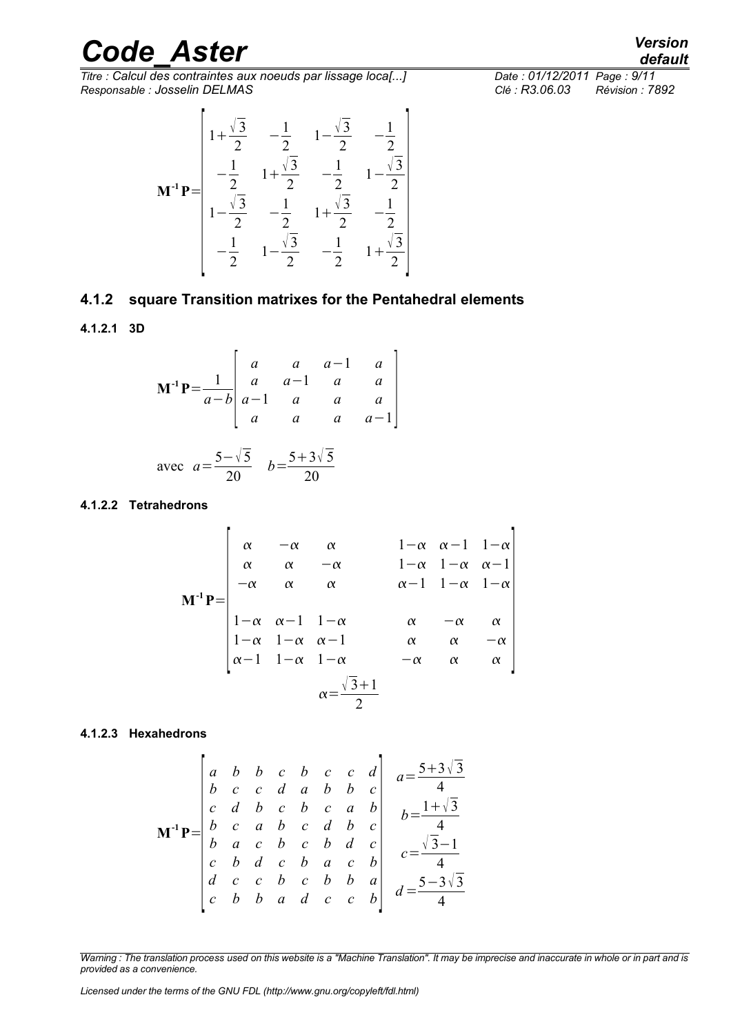*Titre : Calcul des contraintes aux noeuds par lissage loca[...] Date : 01/12/2011 Page : 9/11 Responsable : Josselin DELMAS Clé : R3.06.03 Révision : 7892*

$$
\mathbf{M}^{-1} \mathbf{P} = \begin{bmatrix} 1 + \frac{\sqrt{3}}{2} & -\frac{1}{2} & 1 - \frac{\sqrt{3}}{2} & -\frac{1}{2} \\ -\frac{1}{2} & 1 + \frac{\sqrt{3}}{2} & -\frac{1}{2} & 1 - \frac{\sqrt{3}}{2} \\ 1 - \frac{\sqrt{3}}{2} & -\frac{1}{2} & 1 + \frac{\sqrt{3}}{2} & -\frac{1}{2} \\ -\frac{1}{2} & 1 - \frac{\sqrt{3}}{2} & -\frac{1}{2} & 1 + \frac{\sqrt{3}}{2} \end{bmatrix}
$$

#### <span id="page-8-3"></span>**4.1.2 square Transition matrixes for the Pentahedral elements**

#### **4.1.2.1 3D**

<span id="page-8-2"></span>
$$
\mathbf{M}^{-1}\mathbf{P} = \frac{1}{a-b} \begin{bmatrix} a & a & a-1 & a \\ a & a-1 & a & a \\ a-1 & a & a & a \\ a & a & a & a-1 \end{bmatrix}
$$

avec 
$$
a = \frac{5 - \sqrt{5}}{20}
$$
  $b = \frac{5 + 3\sqrt{5}}{20}$ 

 $\overline{a}$ 

i.

#### <span id="page-8-1"></span>**4.1.2.2 Tetrahedrons**

$$
\mathbf{M}^{-1}\mathbf{P} = \begin{bmatrix} \alpha & -\alpha & \alpha & 1-\alpha & \alpha-1 & 1-\alpha \\ \alpha & \alpha & -\alpha & 1-\alpha & 1-\alpha & \alpha-1 \\ -\alpha & \alpha & \alpha & \alpha & \alpha-1 & 1-\alpha & 1-\alpha \\ 1-\alpha & \alpha-1 & 1-\alpha & \alpha & \alpha & \alpha \\ 1-\alpha & 1-\alpha & \alpha-1 & \alpha & \alpha & -\alpha \\ \alpha-1 & 1-\alpha & 1-\alpha & -\alpha & \alpha & \alpha \end{bmatrix}
$$

$$
\alpha = \frac{\sqrt{3}+1}{2}
$$

#### **4.1.2.3 Hexahedrons**

<span id="page-8-0"></span>
$$
\mathbf{M}^1 \mathbf{P} = \begin{bmatrix} a & b & b & c & b & c & c & d \\ b & c & c & d & a & b & b & c \\ c & d & b & c & b & c & a & b \\ b & c & a & b & c & d & b & c \\ b & a & c & b & c & b & d & c \\ c & b & d & c & b & a & c & b \\ d & c & c & b & c & b & b & a \\ c & b & b & a & d & c & c & b \end{bmatrix} \begin{array}{c} a = \frac{5+3\sqrt{3}}{4} \\ b = \frac{1+\sqrt{3}}{4} \\ c = \frac{\sqrt{3}-1}{4} \\ d = \frac{5-3\sqrt{3}}{4} \end{array}
$$

*Warning : The translation process used on this website is a "Machine Translation". It may be imprecise and inaccurate in whole or in part and is provided as a convenience.*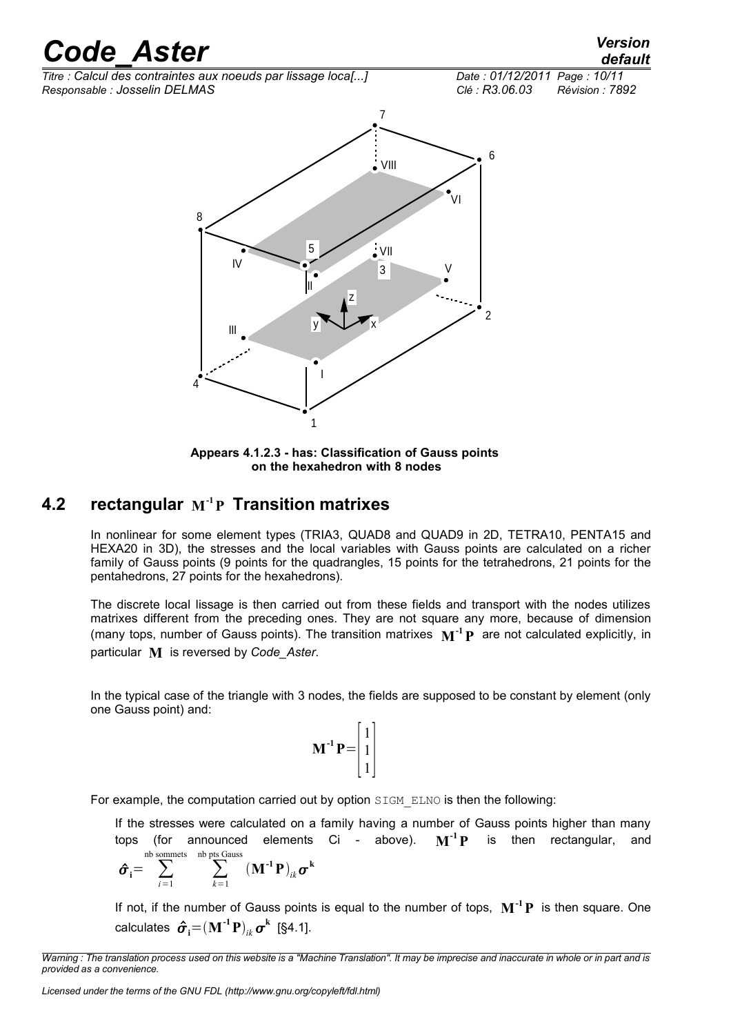*Titre : Calcul des contraintes aux noeuds par lissage loca[...] Date : 01/12/2011 Page : 10/11 Responsable : Josselin DELMAS Clé : R3.06.03 Révision : 7892*

## *default*



**Appears 4.1.2.3 - has: Classification of Gauss points on the hexahedron with 8 nodes**

#### **4.2 rectangular M -1P Transition matrixes**

<span id="page-9-0"></span>In nonlinear for some element types (TRIA3, QUAD8 and QUAD9 in 2D, TETRA10, PENTA15 and HEXA20 in 3D), the stresses and the local variables with Gauss points are calculated on a richer family of Gauss points (9 points for the quadrangles, 15 points for the tetrahedrons, 21 points for the pentahedrons, 27 points for the hexahedrons).

The discrete local lissage is then carried out from these fields and transport with the nodes utilizes matrixes different from the preceding ones. They are not square any more, because of dimension (many tops, number of Gauss points). The transition matrixes **M -1P** are not calculated explicitly, in particular **M** is reversed by *Code\_Aster*.

In the typical case of the triangle with 3 nodes, the fields are supposed to be constant by element (only one Gauss point) and:

$$
\mathbf{M}^{-1}\mathbf{P} = \begin{bmatrix} 1 \\ 1 \\ 1 \end{bmatrix}
$$

For example, the computation carried out by option SIGM\_ELNO is then the following:

If the stresses were calculated on a family having a number of Gauss points higher than many tops (for announced elements Ci - above).  $M^{-1}P$ is then rectangular, and nb sommets nb pts Gauss

$$
\hat{\boldsymbol{\sigma}}_{i} = \sum_{i=1}^{N} \sum_{k=1}^{N} (\mathbf{M}^{-1} \mathbf{P})_{ik} \boldsymbol{\sigma}^{k}
$$

If not, if the number of Gauss points is equal to the number of tops, **M -1P** is then square. One  $\mathbf{c}$ alculates  $\hat{\boldsymbol{\sigma}}_{\mathbf{i}}{=}(\mathbf{M}^{\text{-1}}\mathbf{P})_{ik}\boldsymbol{\sigma}^{\mathbf{k}}$  [§4.1].

*Warning : The translation process used on this website is a "Machine Translation". It may be imprecise and inaccurate in whole or in part and is provided as a convenience.*